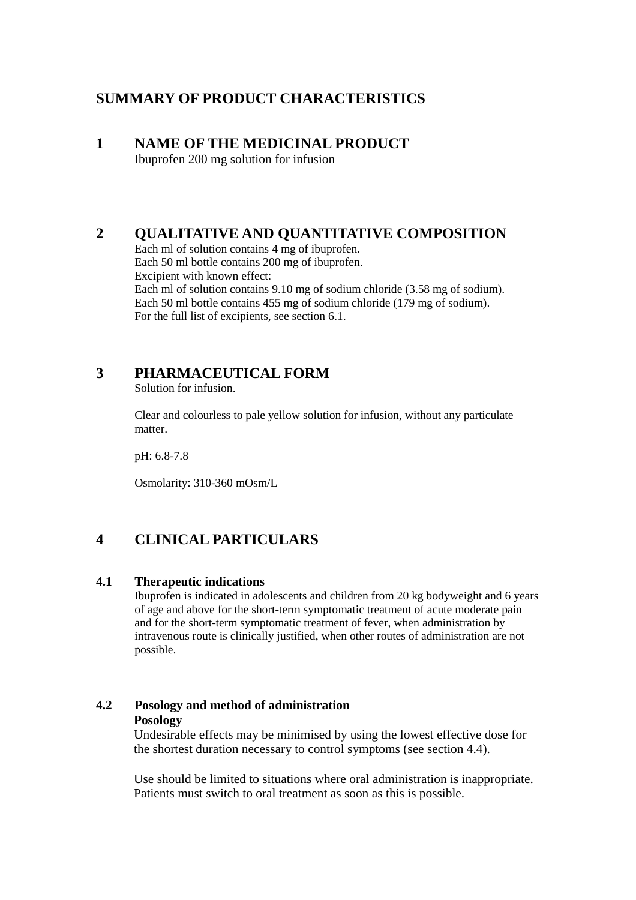# **SUMMARY OF PRODUCT CHARACTERISTICS**

# **1 NAME OF THE MEDICINAL PRODUCT**

Ibuprofen 200 mg solution for infusion

# **2 QUALITATIVE AND QUANTITATIVE COMPOSITION**

Each ml of solution contains 4 mg of ibuprofen. Each 50 ml bottle contains 200 mg of ibuprofen. Excipient with known effect: Each ml of solution contains 9.10 mg of sodium chloride (3.58 mg of sodium). Each 50 ml bottle contains 455 mg of sodium chloride (179 mg of sodium). For the full list of excipients, see section 6.1.

# **3 PHARMACEUTICAL FORM**

Solution for infusion.

Clear and colourless to pale yellow solution for infusion, without any particulate matter.

pH: 6.8-7.8

Osmolarity: 310-360 mOsm/L

# **4 CLINICAL PARTICULARS**

## **4.1 Therapeutic indications**

Ibuprofen is indicated in adolescents and children from 20 kg bodyweight and 6 years of age and above for the short-term symptomatic treatment of acute moderate pain and for the short-term symptomatic treatment of fever, when administration by intravenous route is clinically justified, when other routes of administration are not possible.

## **4.2 Posology and method of administration Posology**

Undesirable effects may be minimised by using the lowest effective dose for the shortest duration necessary to control symptoms (see section 4.4).

Use should be limited to situations where oral administration is inappropriate. Patients must switch to oral treatment as soon as this is possible.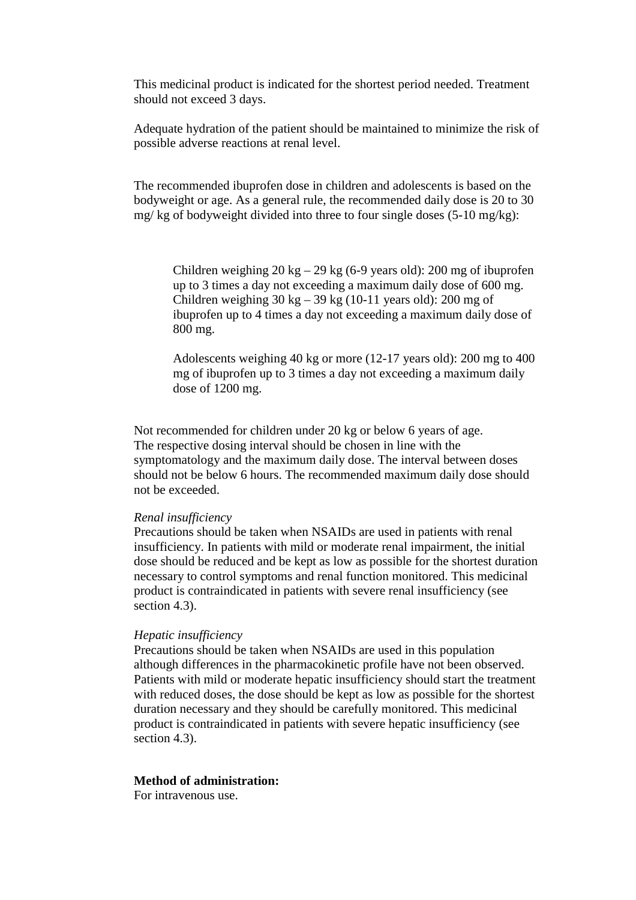This medicinal product is indicated for the shortest period needed. Treatment should not exceed 3 days.

Adequate hydration of the patient should be maintained to minimize the risk of possible adverse reactions at renal level.

The recommended ibuprofen dose in children and adolescents is based on the bodyweight or age. As a general rule, the recommended daily dose is 20 to 30 mg/ kg of bodyweight divided into three to four single doses (5-10 mg/kg):

Children weighing  $20 \text{ kg} - 29 \text{ kg}$  (6-9 years old): 200 mg of ibuprofen up to 3 times a day not exceeding a maximum daily dose of 600 mg. Children weighing  $30 \text{ kg} - 39 \text{ kg}$  (10-11 years old): 200 mg of ibuprofen up to 4 times a day not exceeding a maximum daily dose of 800 mg.

Adolescents weighing 40 kg or more (12-17 years old): 200 mg to 400 mg of ibuprofen up to 3 times a day not exceeding a maximum daily dose of 1200 mg.

Not recommended for children under 20 kg or below 6 years of age. The respective dosing interval should be chosen in line with the symptomatology and the maximum daily dose. The interval between doses should not be below 6 hours. The recommended maximum daily dose should not be exceeded.

#### *Renal insufficiency*

Precautions should be taken when NSAIDs are used in patients with renal insufficiency. In patients with mild or moderate renal impairment, the initial dose should be reduced and be kept as low as possible for the shortest duration necessary to control symptoms and renal function monitored. This medicinal product is contraindicated in patients with severe renal insufficiency (see section 4.3).

#### *Hepatic insufficiency*

Precautions should be taken when NSAIDs are used in this population although differences in the pharmacokinetic profile have not been observed. Patients with mild or moderate hepatic insufficiency should start the treatment with reduced doses, the dose should be kept as low as possible for the shortest duration necessary and they should be carefully monitored. This medicinal product is contraindicated in patients with severe hepatic insufficiency (see section 4.3).

### **Method of administration:**

For intravenous use.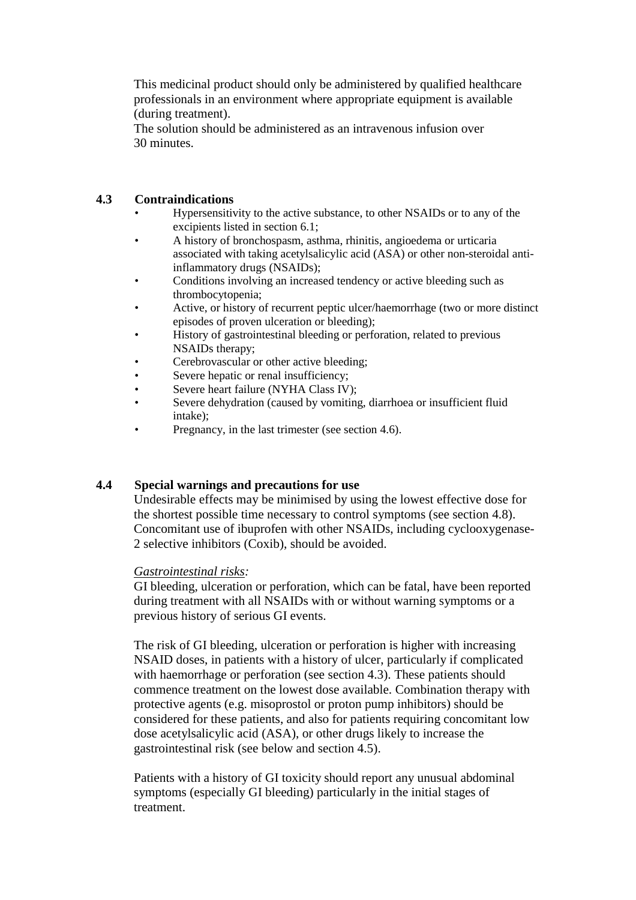This medicinal product should only be administered by qualified healthcare professionals in an environment where appropriate equipment is available (during treatment).

The solution should be administered as an intravenous infusion over 30 minutes.

## **4.3 Contraindications**

- Hypersensitivity to the active substance, to other NSAIDs or to any of the excipients listed in section 6.1;
- A history of bronchospasm, asthma, rhinitis, angioedema or urticaria associated with taking acetylsalicylic acid (ASA) or other non-steroidal antiinflammatory drugs (NSAIDs);
- Conditions involving an increased tendency or active bleeding such as thrombocytopenia;
- Active, or history of recurrent peptic ulcer/haemorrhage (two or more distinct episodes of proven ulceration or bleeding);
- History of gastrointestinal bleeding or perforation, related to previous NSAIDs therapy;
- Cerebrovascular or other active bleeding;
- Severe hepatic or renal insufficiency:
- Severe heart failure (NYHA Class IV);
- Severe dehydration (caused by vomiting, diarrhoea or insufficient fluid intake);
- Pregnancy, in the last trimester (see section 4.6).

## **4.4 Special warnings and precautions for use**

Undesirable effects may be minimised by using the lowest effective dose for the shortest possible time necessary to control symptoms (see section 4.8). Concomitant use of ibuprofen with other NSAIDs, including cyclooxygenase-2 selective inhibitors (Coxib), should be avoided.

## *Gastrointestinal risks:*

GI bleeding, ulceration or perforation, which can be fatal, have been reported during treatment with all NSAIDs with or without warning symptoms or a previous history of serious GI events.

The risk of GI bleeding, ulceration or perforation is higher with increasing NSAID doses, in patients with a history of ulcer, particularly if complicated with haemorrhage or perforation (see section 4.3). These patients should commence treatment on the lowest dose available. Combination therapy with protective agents (e.g. misoprostol or proton pump inhibitors) should be considered for these patients, and also for patients requiring concomitant low dose acetylsalicylic acid (ASA), or other drugs likely to increase the gastrointestinal risk (see below and section 4.5).

Patients with a history of GI toxicity should report any unusual abdominal symptoms (especially GI bleeding) particularly in the initial stages of treatment.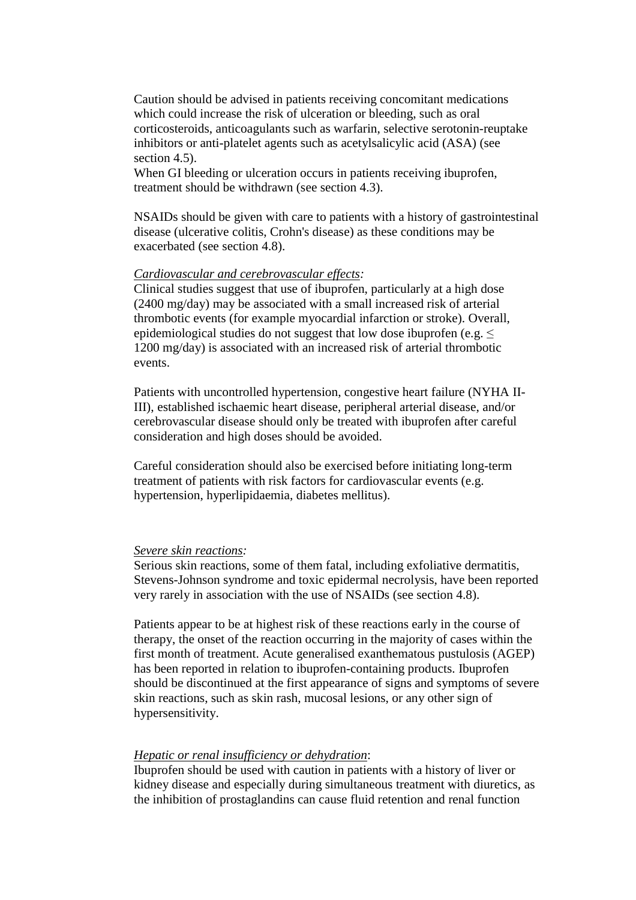Caution should be advised in patients receiving concomitant medications which could increase the risk of ulceration or bleeding, such as oral corticosteroids, anticoagulants such as warfarin, selective serotonin-reuptake inhibitors or anti-platelet agents such as acetylsalicylic acid (ASA) (see section 4.5).

When GI bleeding or ulceration occurs in patients receiving ibuprofen, treatment should be withdrawn (see section 4.3).

NSAIDs should be given with care to patients with a history of gastrointestinal disease (ulcerative colitis, Crohn's disease) as these conditions may be exacerbated (see section 4.8).

### *Cardiovascular and cerebrovascular effects:*

Clinical studies suggest that use of ibuprofen, particularly at a high dose (2400 mg/day) may be associated with a small increased risk of arterial thrombotic events (for example myocardial infarction or stroke). Overall, epidemiological studies do not suggest that low dose ibuprofen (e.g.  $\leq$ 1200 mg/day) is associated with an increased risk of arterial thrombotic events.

Patients with uncontrolled hypertension, congestive heart failure (NYHA II-III), established ischaemic heart disease, peripheral arterial disease, and/or cerebrovascular disease should only be treated with ibuprofen after careful consideration and high doses should be avoided.

Careful consideration should also be exercised before initiating long-term treatment of patients with risk factors for cardiovascular events (e.g. hypertension, hyperlipidaemia, diabetes mellitus).

### *Severe skin reactions:*

Serious skin reactions, some of them fatal, including exfoliative dermatitis, Stevens-Johnson syndrome and toxic epidermal necrolysis, have been reported very rarely in association with the use of NSAIDs (see section 4.8).

Patients appear to be at highest risk of these reactions early in the course of therapy, the onset of the reaction occurring in the majority of cases within the first month of treatment. Acute generalised exanthematous pustulosis (AGEP) has been reported in relation to ibuprofen-containing products. Ibuprofen should be discontinued at the first appearance of signs and symptoms of severe skin reactions, such as skin rash, mucosal lesions, or any other sign of hypersensitivity.

### *Hepatic or renal insufficiency or dehydration*:

Ibuprofen should be used with caution in patients with a history of liver or kidney disease and especially during simultaneous treatment with diuretics, as the inhibition of prostaglandins can cause fluid retention and renal function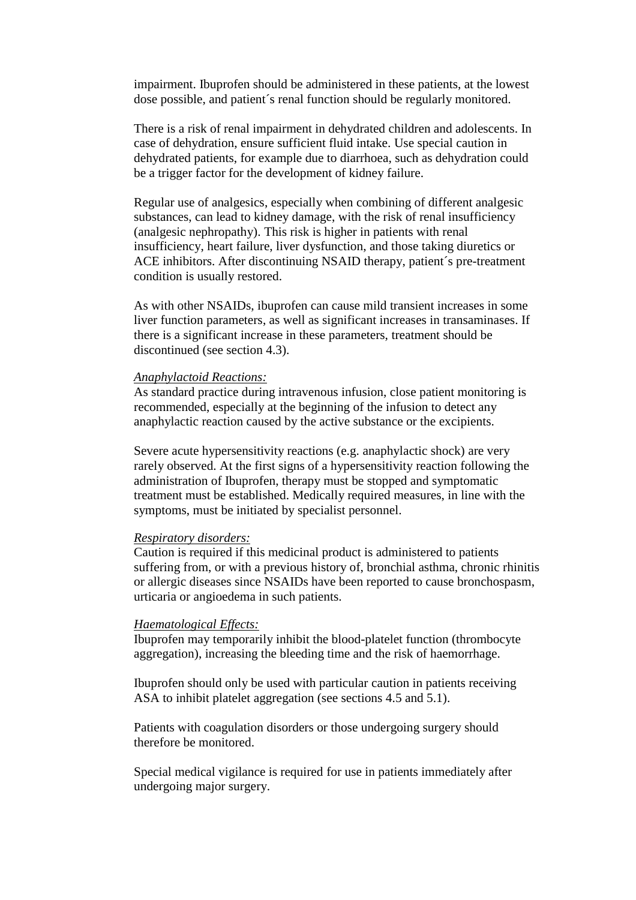impairment. Ibuprofen should be administered in these patients, at the lowest dose possible, and patient´s renal function should be regularly monitored.

There is a risk of renal impairment in dehydrated children and adolescents. In case of dehydration, ensure sufficient fluid intake. Use special caution in dehydrated patients, for example due to diarrhoea, such as dehydration could be a trigger factor for the development of kidney failure.

Regular use of analgesics, especially when combining of different analgesic substances, can lead to kidney damage, with the risk of renal insufficiency (analgesic nephropathy). This risk is higher in patients with renal insufficiency, heart failure, liver dysfunction, and those taking diuretics or ACE inhibitors. After discontinuing NSAID therapy, patient´s pre-treatment condition is usually restored.

As with other NSAIDs, ibuprofen can cause mild transient increases in some liver function parameters, as well as significant increases in transaminases. If there is a significant increase in these parameters, treatment should be discontinued (see section 4.3).

#### *Anaphylactoid Reactions:*

As standard practice during intravenous infusion, close patient monitoring is recommended, especially at the beginning of the infusion to detect any anaphylactic reaction caused by the active substance or the excipients.

Severe acute hypersensitivity reactions (e.g. anaphylactic shock) are very rarely observed. At the first signs of a hypersensitivity reaction following the administration of Ibuprofen, therapy must be stopped and symptomatic treatment must be established. Medically required measures, in line with the symptoms, must be initiated by specialist personnel.

### *Respiratory disorders:*

Caution is required if this medicinal product is administered to patients suffering from, or with a previous history of, bronchial asthma, chronic rhinitis or allergic diseases since NSAIDs have been reported to cause bronchospasm, urticaria or angioedema in such patients.

### *Haematological Effects:*

Ibuprofen may temporarily inhibit the blood-platelet function (thrombocyte aggregation), increasing the bleeding time and the risk of haemorrhage.

Ibuprofen should only be used with particular caution in patients receiving ASA to inhibit platelet aggregation (see sections 4.5 and 5.1).

Patients with coagulation disorders or those undergoing surgery should therefore be monitored.

Special medical vigilance is required for use in patients immediately after undergoing major surgery.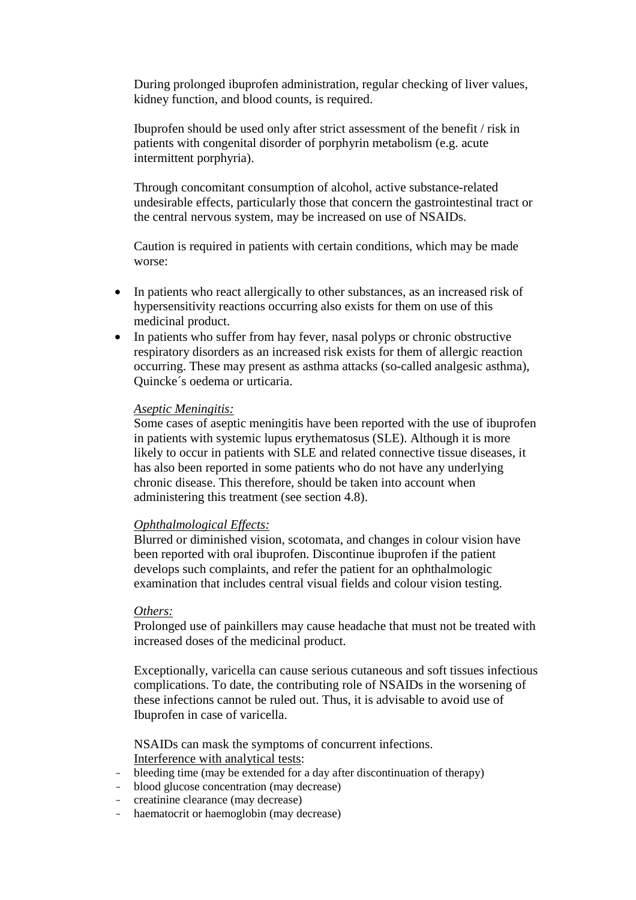During prolonged ibuprofen administration, regular checking of liver values, kidney function, and blood counts, is required.

Ibuprofen should be used only after strict assessment of the benefit / risk in patients with congenital disorder of porphyrin metabolism (e.g. acute intermittent porphyria).

Through concomitant consumption of alcohol, active substance-related undesirable effects, particularly those that concern the gastrointestinal tract or the central nervous system, may be increased on use of NSAIDs.

Caution is required in patients with certain conditions, which may be made worse:

- In patients who react allergically to other substances, as an increased risk of hypersensitivity reactions occurring also exists for them on use of this medicinal product.
- In patients who suffer from hay fever, nasal polyps or chronic obstructive respiratory disorders as an increased risk exists for them of allergic reaction occurring. These may present as asthma attacks (so-called analgesic asthma), Quincke´s oedema or urticaria.

### *Aseptic Meningitis:*

Some cases of aseptic meningitis have been reported with the use of ibuprofen in patients with systemic lupus erythematosus (SLE). Although it is more likely to occur in patients with SLE and related connective tissue diseases, it has also been reported in some patients who do not have any underlying chronic disease. This therefore, should be taken into account when administering this treatment (see section 4.8).

### *Ophthalmological Effects:*

Blurred or diminished vision, scotomata, and changes in colour vision have been reported with oral ibuprofen. Discontinue ibuprofen if the patient develops such complaints, and refer the patient for an ophthalmologic examination that includes central visual fields and colour vision testing.

### *Others:*

Prolonged use of painkillers may cause headache that must not be treated with increased doses of the medicinal product.

Exceptionally, varicella can cause serious cutaneous and soft tissues infectious complications. To date, the contributing role of NSAIDs in the worsening of these infections cannot be ruled out. Thus, it is advisable to avoid use of Ibuprofen in case of varicella.

NSAIDs can mask the symptoms of concurrent infections. Interference with analytical tests:

- bleeding time (may be extended for a day after discontinuation of therapy)
- blood glucose concentration (may decrease)
- creatinine clearance (may decrease)
- haematocrit or haemoglobin (may decrease)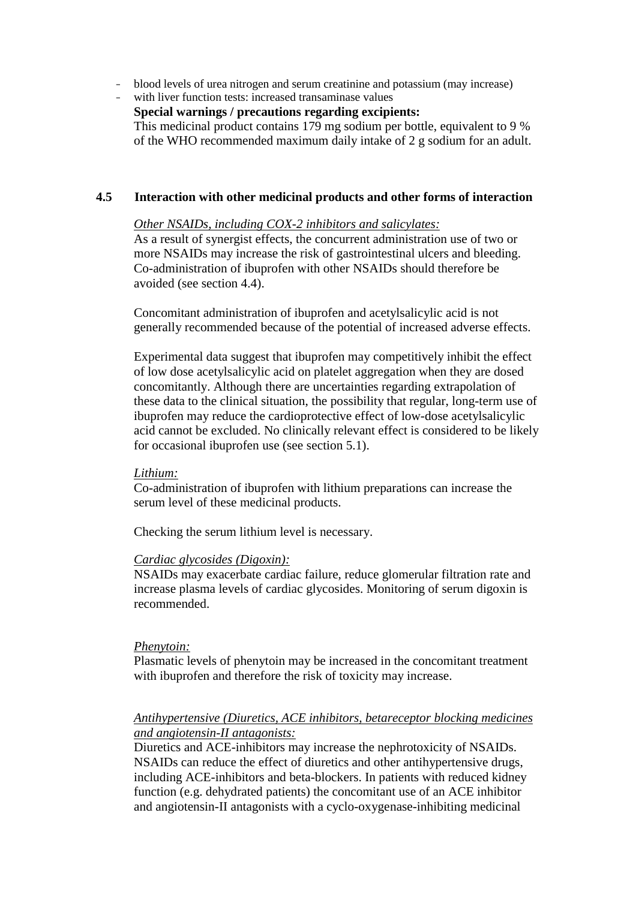- blood levels of urea nitrogen and serum creatinine and potassium (may increase)
- with liver function tests: increased transaminase values
	- **Special warnings / precautions regarding excipients:**

This medicinal product contains 179 mg sodium per bottle, equivalent to 9 % of the WHO recommended maximum daily intake of 2 g sodium for an adult.

## **4.5 Interaction with other medicinal products and other forms of interaction**

### *Other NSAIDs, including COX-2 inhibitors and salicylates:*

As a result of synergist effects, the concurrent administration use of two or more NSAIDs may increase the risk of gastrointestinal ulcers and bleeding. Co-administration of ibuprofen with other NSAIDs should therefore be avoided (see section 4.4).

Concomitant administration of ibuprofen and acetylsalicylic acid is not generally recommended because of the potential of increased adverse effects.

Experimental data suggest that ibuprofen may competitively inhibit the effect of low dose acetylsalicylic acid on platelet aggregation when they are dosed concomitantly. Although there are uncertainties regarding extrapolation of these data to the clinical situation, the possibility that regular, long-term use of ibuprofen may reduce the cardioprotective effect of low-dose acetylsalicylic acid cannot be excluded. No clinically relevant effect is considered to be likely for occasional ibuprofen use (see section 5.1).

### *Lithium:*

Co-administration of ibuprofen with lithium preparations can increase the serum level of these medicinal products.

Checking the serum lithium level is necessary.

#### *Cardiac glycosides (Digoxin):*

NSAIDs may exacerbate cardiac failure, reduce glomerular filtration rate and increase plasma levels of cardiac glycosides. Monitoring of serum digoxin is recommended.

#### *Phenytoin:*

Plasmatic levels of phenytoin may be increased in the concomitant treatment with ibuprofen and therefore the risk of toxicity may increase.

## *Antihypertensive (Diuretics, ACE inhibitors, betareceptor blocking medicines and angiotensin-II antagonists:*

Diuretics and ACE-inhibitors may increase the nephrotoxicity of NSAIDs. NSAIDs can reduce the effect of diuretics and other antihypertensive drugs, including ACE-inhibitors and beta-blockers. In patients with reduced kidney function (e.g. dehydrated patients) the concomitant use of an ACE inhibitor and angiotensin-II antagonists with a cyclo-oxygenase-inhibiting medicinal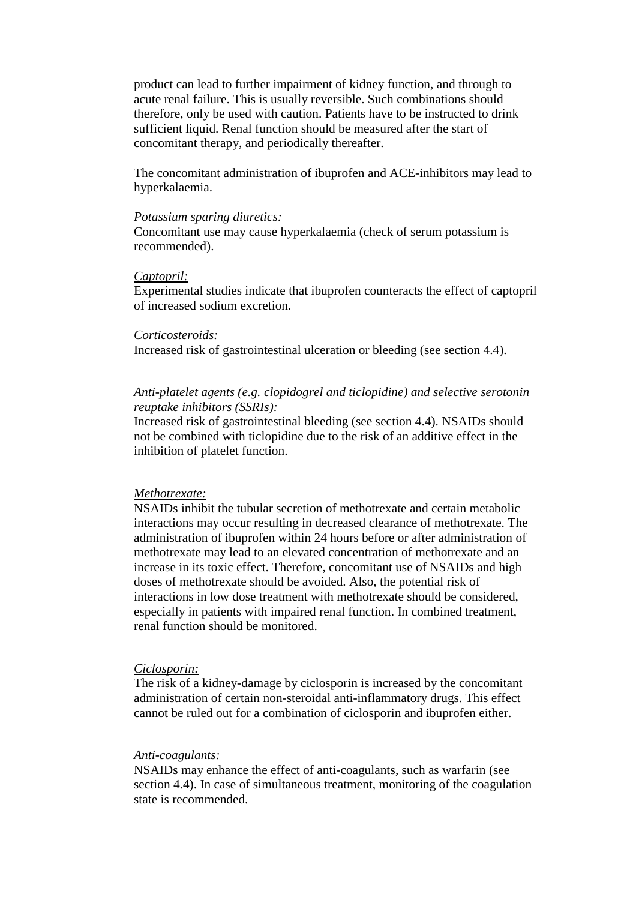product can lead to further impairment of kidney function, and through to acute renal failure. This is usually reversible. Such combinations should therefore, only be used with caution. Patients have to be instructed to drink sufficient liquid. Renal function should be measured after the start of concomitant therapy, and periodically thereafter.

The concomitant administration of ibuprofen and ACE-inhibitors may lead to hyperkalaemia.

#### *Potassium sparing diuretics:*

Concomitant use may cause hyperkalaemia (check of serum potassium is recommended).

#### *Captopril:*

Experimental studies indicate that ibuprofen counteracts the effect of captopril of increased sodium excretion.

### *Corticosteroids:*

Increased risk of gastrointestinal ulceration or bleeding (see section 4.4).

## *Anti-platelet agents (e.g. clopidogrel and ticlopidine) and selective serotonin reuptake inhibitors (SSRIs):*

Increased risk of gastrointestinal bleeding (see section 4.4). NSAIDs should not be combined with ticlopidine due to the risk of an additive effect in the inhibition of platelet function.

### *Methotrexate:*

NSAIDs inhibit the tubular secretion of methotrexate and certain metabolic interactions may occur resulting in decreased clearance of methotrexate. The administration of ibuprofen within 24 hours before or after administration of methotrexate may lead to an elevated concentration of methotrexate and an increase in its toxic effect. Therefore, concomitant use of NSAIDs and high doses of methotrexate should be avoided. Also, the potential risk of interactions in low dose treatment with methotrexate should be considered, especially in patients with impaired renal function. In combined treatment, renal function should be monitored.

#### *Ciclosporin:*

The risk of a kidney-damage by ciclosporin is increased by the concomitant administration of certain non-steroidal anti-inflammatory drugs. This effect cannot be ruled out for a combination of ciclosporin and ibuprofen either.

### *Anti-coagulants:*

NSAIDs may enhance the effect of anti-coagulants, such as warfarin (see section 4.4). In case of simultaneous treatment, monitoring of the coagulation state is recommended.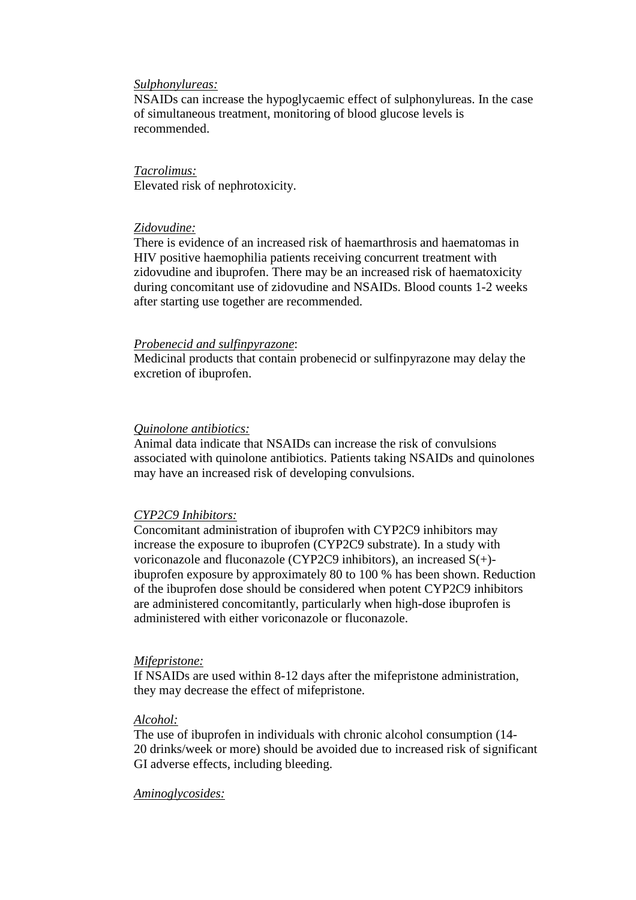#### *Sulphonylureas:*

NSAIDs can increase the hypoglycaemic effect of sulphonylureas. In the case of simultaneous treatment, monitoring of blood glucose levels is recommended.

*Tacrolimus:*  Elevated risk of nephrotoxicity.

### *Zidovudine:*

There is evidence of an increased risk of haemarthrosis and haematomas in HIV positive haemophilia patients receiving concurrent treatment with zidovudine and ibuprofen. There may be an increased risk of haematoxicity during concomitant use of zidovudine and NSAIDs. Blood counts 1-2 weeks after starting use together are recommended.

#### *Probenecid and sulfinpyrazone*:

Medicinal products that contain probenecid or sulfinpyrazone may delay the excretion of ibuprofen.

### *Quinolone antibiotics:*

Animal data indicate that NSAIDs can increase the risk of convulsions associated with quinolone antibiotics. Patients taking NSAIDs and quinolones may have an increased risk of developing convulsions.

### *CYP2C9 Inhibitors:*

Concomitant administration of ibuprofen with CYP2C9 inhibitors may increase the exposure to ibuprofen (CYP2C9 substrate). In a study with voriconazole and fluconazole (CYP2C9 inhibitors), an increased S(+) ibuprofen exposure by approximately 80 to 100 % has been shown. Reduction of the ibuprofen dose should be considered when potent CYP2C9 inhibitors are administered concomitantly, particularly when high-dose ibuprofen is administered with either voriconazole or fluconazole.

### *Mifepristone:*

If NSAIDs are used within 8-12 days after the mifepristone administration, they may decrease the effect of mifepristone.

#### *Alcohol:*

The use of ibuprofen in individuals with chronic alcohol consumption (14- 20 drinks/week or more) should be avoided due to increased risk of significant GI adverse effects, including bleeding.

### *Aminoglycosides:*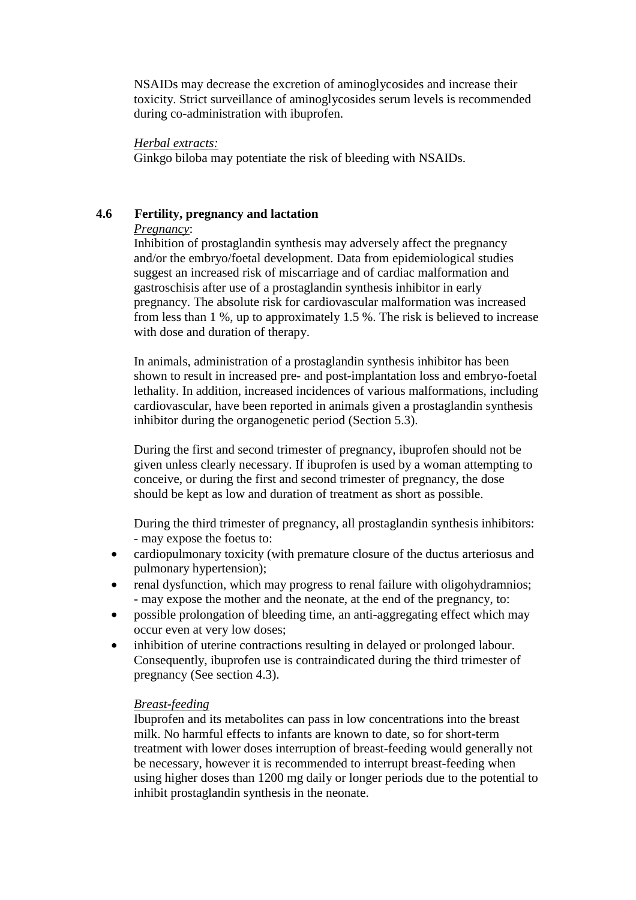NSAIDs may decrease the excretion of aminoglycosides and increase their toxicity. Strict surveillance of aminoglycosides serum levels is recommended during co-administration with ibuprofen.

## *Herbal extracts:*

Ginkgo biloba may potentiate the risk of bleeding with NSAIDs.

## **4.6 Fertility, pregnancy and lactation**

## *Pregnancy*:

Inhibition of prostaglandin synthesis may adversely affect the pregnancy and/or the embryo/foetal development. Data from epidemiological studies suggest an increased risk of miscarriage and of cardiac malformation and gastroschisis after use of a prostaglandin synthesis inhibitor in early pregnancy. The absolute risk for cardiovascular malformation was increased from less than 1 %, up to approximately 1.5 %. The risk is believed to increase with dose and duration of therapy.

In animals, administration of a prostaglandin synthesis inhibitor has been shown to result in increased pre- and post-implantation loss and embryo-foetal lethality. In addition, increased incidences of various malformations, including cardiovascular, have been reported in animals given a prostaglandin synthesis inhibitor during the organogenetic period (Section 5.3).

During the first and second trimester of pregnancy, ibuprofen should not be given unless clearly necessary. If ibuprofen is used by a woman attempting to conceive, or during the first and second trimester of pregnancy, the dose should be kept as low and duration of treatment as short as possible.

During the third trimester of pregnancy, all prostaglandin synthesis inhibitors: - may expose the foetus to:

- cardiopulmonary toxicity (with premature closure of the ductus arteriosus and pulmonary hypertension);
- renal dysfunction, which may progress to renal failure with oligohydramnios; - may expose the mother and the neonate, at the end of the pregnancy, to:
- possible prolongation of bleeding time, an anti-aggregating effect which may occur even at very low doses;
- inhibition of uterine contractions resulting in delayed or prolonged labour. Consequently, ibuprofen use is contraindicated during the third trimester of pregnancy (See section 4.3).

## *Breast-feeding*

Ibuprofen and its metabolites can pass in low concentrations into the breast milk. No harmful effects to infants are known to date, so for short-term treatment with lower doses interruption of breast-feeding would generally not be necessary, however it is recommended to interrupt breast-feeding when using higher doses than 1200 mg daily or longer periods due to the potential to inhibit prostaglandin synthesis in the neonate.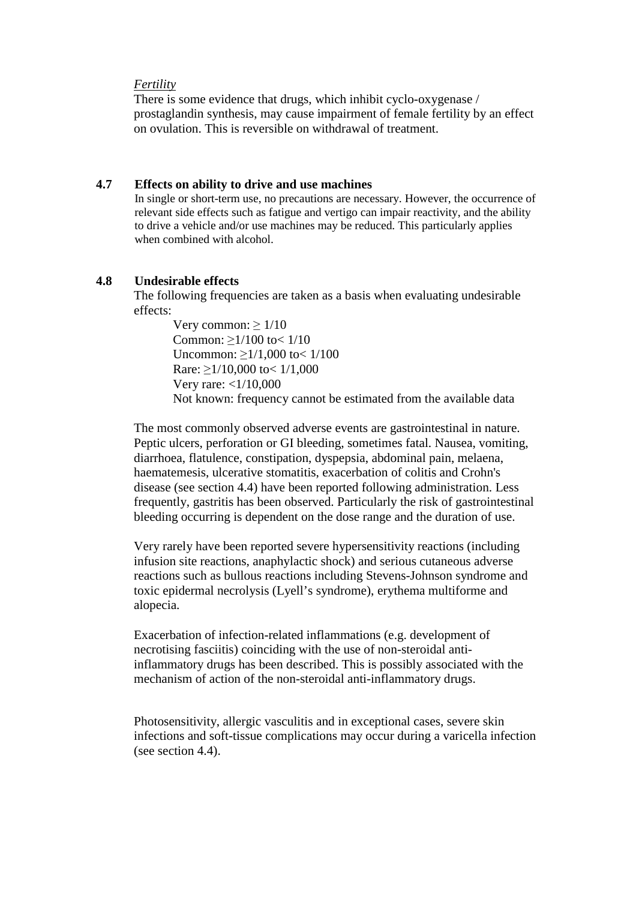#### *Fertility*

There is some evidence that drugs, which inhibit cyclo-oxygenase / prostaglandin synthesis, may cause impairment of female fertility by an effect on ovulation. This is reversible on withdrawal of treatment.

## **4.7 Effects on ability to drive and use machines**

In single or short-term use, no precautions are necessary. However, the occurrence of relevant side effects such as fatigue and vertigo can impair reactivity, and the ability to drive a vehicle and/or use machines may be reduced. This particularly applies when combined with alcohol.

## **4.8 Undesirable effects**

The following frequencies are taken as a basis when evaluating undesirable effects:

> Very common:  $> 1/10$ Common: ≥1/100 to< 1/10 Uncommon: ≥1/1,000 to< 1/100 Rare: ≥1/10,000 to< 1/1,000 Very rare: <1/10,000 Not known: frequency cannot be estimated from the available data

The most commonly observed adverse events are gastrointestinal in nature. Peptic ulcers, perforation or GI bleeding, sometimes fatal. Nausea, vomiting, diarrhoea, flatulence, constipation, dyspepsia, abdominal pain, melaena, haematemesis, ulcerative stomatitis, exacerbation of colitis and Crohn's disease (see section 4.4) have been reported following administration. Less frequently, gastritis has been observed. Particularly the risk of gastrointestinal bleeding occurring is dependent on the dose range and the duration of use.

Very rarely have been reported severe hypersensitivity reactions (including infusion site reactions, anaphylactic shock) and serious cutaneous adverse reactions such as bullous reactions including Stevens-Johnson syndrome and toxic epidermal necrolysis (Lyell's syndrome), erythema multiforme and alopecia.

Exacerbation of infection-related inflammations (e.g. development of necrotising fasciitis) coinciding with the use of non-steroidal antiinflammatory drugs has been described. This is possibly associated with the mechanism of action of the non-steroidal anti-inflammatory drugs.

Photosensitivity, allergic vasculitis and in exceptional cases, severe skin infections and soft-tissue complications may occur during a varicella infection (see section 4.4).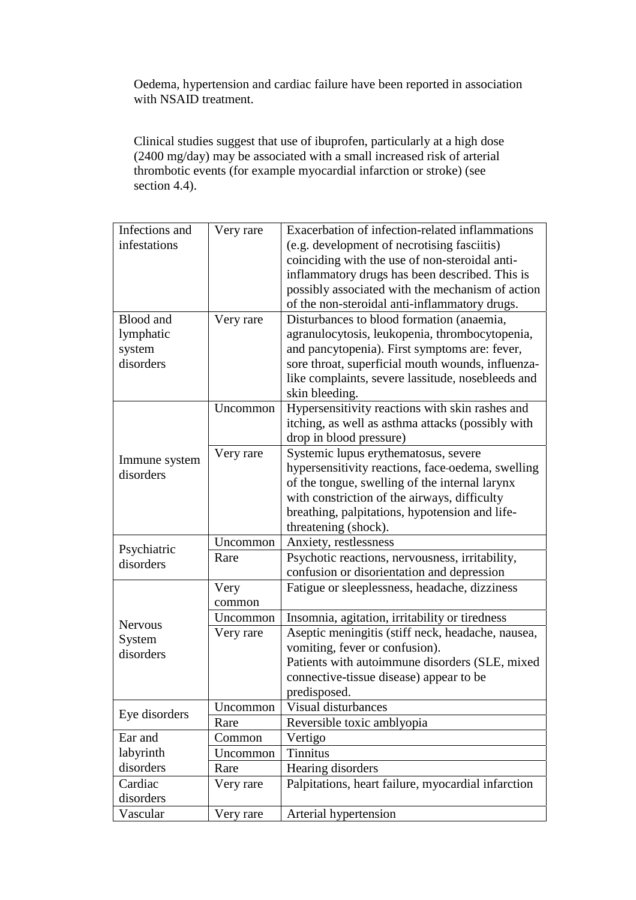Oedema, hypertension and cardiac failure have been reported in association with NSAID treatment.

Clinical studies suggest that use of ibuprofen, particularly at a high dose (2400 mg/day) may be associated with a small increased risk of arterial thrombotic events (for example myocardial infarction or stroke) (see section 4.4).

| Infections and             | Very rare | Exacerbation of infection-related inflammations    |
|----------------------------|-----------|----------------------------------------------------|
| infestations               |           | (e.g. development of necrotising fasciitis)        |
|                            |           | coinciding with the use of non-steroidal anti-     |
|                            |           | inflammatory drugs has been described. This is     |
|                            |           | possibly associated with the mechanism of action   |
|                            |           | of the non-steroidal anti-inflammatory drugs.      |
| Blood and                  | Very rare | Disturbances to blood formation (anaemia,          |
| lymphatic                  |           | agranulocytosis, leukopenia, thrombocytopenia,     |
| system                     |           | and pancytopenia). First symptoms are: fever,      |
| disorders                  |           | sore throat, superficial mouth wounds, influenza-  |
|                            |           | like complaints, severe lassitude, nosebleeds and  |
|                            |           | skin bleeding.                                     |
|                            | Uncommon  | Hypersensitivity reactions with skin rashes and    |
|                            |           | itching, as well as asthma attacks (possibly with  |
| Immune system<br>disorders |           | drop in blood pressure)                            |
|                            | Very rare | Systemic lupus erythematosus, severe               |
|                            |           | hypersensitivity reactions, face-oedema, swelling  |
|                            |           | of the tongue, swelling of the internal larynx     |
|                            |           | with constriction of the airways, difficulty       |
|                            |           | breathing, palpitations, hypotension and life-     |
|                            |           | threatening (shock).                               |
| Psychiatric                | Uncommon  | Anxiety, restlessness                              |
| disorders                  | Rare      | Psychotic reactions, nervousness, irritability,    |
|                            |           | confusion or disorientation and depression         |
|                            | Very      | Fatigue or sleeplessness, headache, dizziness      |
|                            | common    |                                                    |
| <b>Nervous</b>             | Uncommon  | Insomnia, agitation, irritability or tiredness     |
| System                     | Very rare | Aseptic meningitis (stiff neck, headache, nausea,  |
| disorders                  |           | vomiting, fever or confusion).                     |
|                            |           | Patients with autoimmune disorders (SLE, mixed     |
|                            |           | connective-tissue disease) appear to be            |
|                            |           | predisposed.                                       |
| Eye disorders              | Uncommon  | Visual disturbances                                |
|                            | Rare      | Reversible toxic amblyopia                         |
| Ear and                    | Common    | Vertigo                                            |
| labyrinth                  | Uncommon  | <b>Tinnitus</b>                                    |
| disorders                  | Rare      | Hearing disorders                                  |
| Cardiac                    | Very rare | Palpitations, heart failure, myocardial infarction |
| disorders                  |           |                                                    |
| Vascular                   | Very rare | Arterial hypertension                              |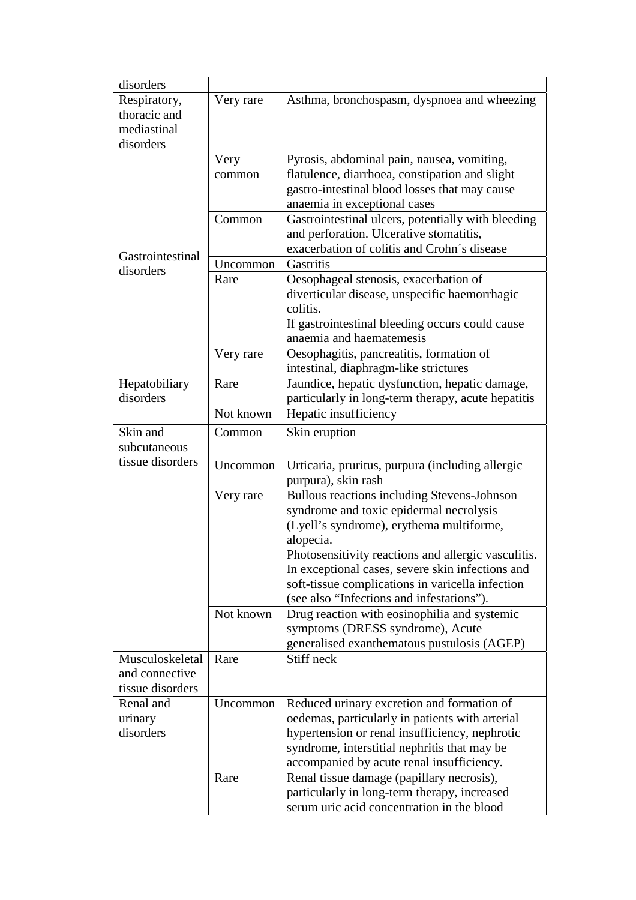| disorders        |           |                                                                                           |
|------------------|-----------|-------------------------------------------------------------------------------------------|
| Respiratory,     | Very rare | Asthma, bronchospasm, dyspnoea and wheezing                                               |
| thoracic and     |           |                                                                                           |
| mediastinal      |           |                                                                                           |
| disorders        |           |                                                                                           |
|                  | Very      | Pyrosis, abdominal pain, nausea, vomiting,                                                |
|                  | common    | flatulence, diarrhoea, constipation and slight                                            |
|                  |           | gastro-intestinal blood losses that may cause                                             |
|                  |           | anaemia in exceptional cases                                                              |
|                  | Common    | Gastrointestinal ulcers, potentially with bleeding                                        |
|                  |           | and perforation. Ulcerative stomatitis,                                                   |
| Gastrointestinal |           | exacerbation of colitis and Crohn's disease                                               |
|                  | Uncommon  | Gastritis                                                                                 |
| disorders        | Rare      | Oesophageal stenosis, exacerbation of                                                     |
|                  |           | diverticular disease, unspecific haemorrhagic                                             |
|                  |           | colitis.                                                                                  |
|                  |           | If gastrointestinal bleeding occurs could cause                                           |
|                  |           | anaemia and haematemesis                                                                  |
|                  | Very rare | Oesophagitis, pancreatitis, formation of                                                  |
|                  |           | intestinal, diaphragm-like strictures                                                     |
| Hepatobiliary    | Rare      | Jaundice, hepatic dysfunction, hepatic damage,                                            |
| disorders        |           | particularly in long-term therapy, acute hepatitis                                        |
|                  | Not known | Hepatic insufficiency                                                                     |
| Skin and         | Common    | Skin eruption                                                                             |
| subcutaneous     |           |                                                                                           |
| tissue disorders | Uncommon  |                                                                                           |
|                  |           | Urticaria, pruritus, purpura (including allergic<br>purpura), skin rash                   |
|                  | Very rare | Bullous reactions including Stevens-Johnson                                               |
|                  |           | syndrome and toxic epidermal necrolysis                                                   |
|                  |           | (Lyell's syndrome), erythema multiforme,                                                  |
|                  |           | alopecia.                                                                                 |
|                  |           | Photosensitivity reactions and allergic vasculitis.                                       |
|                  |           | In exceptional cases, severe skin infections and                                          |
|                  |           | soft-tissue complications in varicella infection                                          |
|                  |           | (see also "Infections and infestations").                                                 |
|                  | Not known | Drug reaction with eosinophilia and systemic                                              |
|                  |           | symptoms (DRESS syndrome), Acute                                                          |
|                  |           | generalised exanthematous pustulosis (AGEP)                                               |
| Musculoskeletal  | Rare      | Stiff neck                                                                                |
| and connective   |           |                                                                                           |
| tissue disorders |           |                                                                                           |
| Renal and        | Uncommon  | Reduced urinary excretion and formation of                                                |
| urinary          |           | oedemas, particularly in patients with arterial                                           |
| disorders        |           | hypertension or renal insufficiency, nephrotic                                            |
|                  |           |                                                                                           |
|                  |           |                                                                                           |
|                  |           | syndrome, interstitial nephritis that may be                                              |
|                  |           | accompanied by acute renal insufficiency.                                                 |
|                  | Rare      | Renal tissue damage (papillary necrosis),<br>particularly in long-term therapy, increased |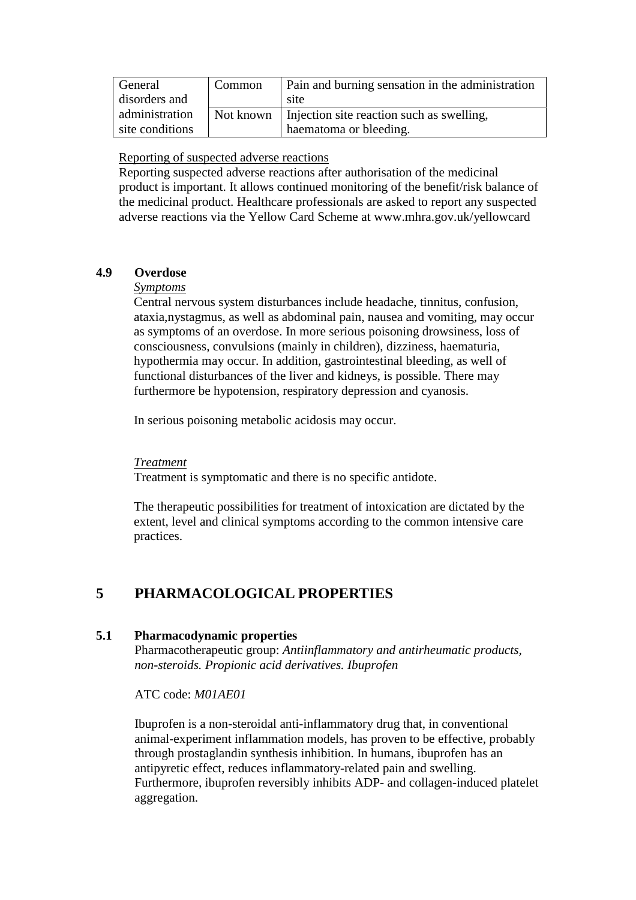| General         | Common | Pain and burning sensation in the administration      |
|-----------------|--------|-------------------------------------------------------|
| disorders and   |        | site                                                  |
| administration  |        | Not known   Injection site reaction such as swelling, |
| site conditions |        | haematoma or bleeding.                                |

Reporting of suspected adverse reactions

Reporting suspected adverse reactions after authorisation of the medicinal product is important. It allows continued monitoring of the benefit/risk balance of the medicinal product. Healthcare professionals are asked to report any suspected adverse reactions via the Yellow Card Scheme at www.mhra.gov.uk/yellowcard

## **4.9 Overdose**

## *Symptoms*

Central nervous system disturbances include headache, tinnitus, confusion, ataxia,nystagmus, as well as abdominal pain, nausea and vomiting, may occur as symptoms of an overdose. In more serious poisoning drowsiness, loss of consciousness, convulsions (mainly in children), dizziness, haematuria, hypothermia may occur. In addition, gastrointestinal bleeding, as well of functional disturbances of the liver and kidneys, is possible. There may furthermore be hypotension, respiratory depression and cyanosis.

In serious poisoning metabolic acidosis may occur.

## *Treatment*

Treatment is symptomatic and there is no specific antidote.

The therapeutic possibilities for treatment of intoxication are dictated by the extent, level and clinical symptoms according to the common intensive care practices.

# **5 PHARMACOLOGICAL PROPERTIES**

## **5.1 Pharmacodynamic properties**

Pharmacotherapeutic group: *Antiinflammatory and antirheumatic products, non-steroids. Propionic acid derivatives. Ibuprofen* 

ATC code: *M01AE01* 

Ibuprofen is a non-steroidal anti-inflammatory drug that, in conventional animal-experiment inflammation models, has proven to be effective, probably through prostaglandin synthesis inhibition. In humans, ibuprofen has an antipyretic effect, reduces inflammatory-related pain and swelling. Furthermore, ibuprofen reversibly inhibits ADP- and collagen-induced platelet aggregation.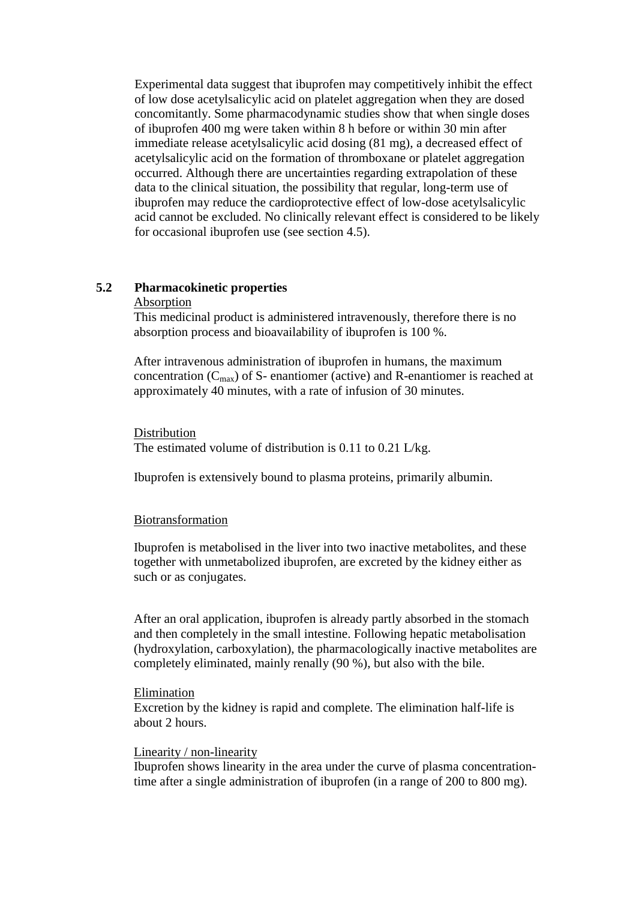Experimental data suggest that ibuprofen may competitively inhibit the effect of low dose acetylsalicylic acid on platelet aggregation when they are dosed concomitantly. Some pharmacodynamic studies show that when single doses of ibuprofen 400 mg were taken within 8 h before or within 30 min after immediate release acetylsalicylic acid dosing (81 mg), a decreased effect of acetylsalicylic acid on the formation of thromboxane or platelet aggregation occurred. Although there are uncertainties regarding extrapolation of these data to the clinical situation, the possibility that regular, long-term use of ibuprofen may reduce the cardioprotective effect of low-dose acetylsalicylic acid cannot be excluded. No clinically relevant effect is considered to be likely for occasional ibuprofen use (see section 4.5).

## **5.2 Pharmacokinetic properties**

#### Absorption

This medicinal product is administered intravenously, therefore there is no absorption process and bioavailability of ibuprofen is 100 %.

After intravenous administration of ibuprofen in humans, the maximum concentration  $(C_{\text{max}})$  of S- enantiomer (active) and R-enantiomer is reached at approximately 40 minutes, with a rate of infusion of 30 minutes.

**Distribution** The estimated volume of distribution is 0.11 to 0.21 L/kg.

Ibuprofen is extensively bound to plasma proteins, primarily albumin.

### Biotransformation

Ibuprofen is metabolised in the liver into two inactive metabolites, and these together with unmetabolized ibuprofen, are excreted by the kidney either as such or as conjugates.

After an oral application, ibuprofen is already partly absorbed in the stomach and then completely in the small intestine. Following hepatic metabolisation (hydroxylation, carboxylation), the pharmacologically inactive metabolites are completely eliminated, mainly renally (90 %), but also with the bile.

#### **Elimination**

Excretion by the kidney is rapid and complete. The elimination half-life is about 2 hours.

#### Linearity / non-linearity

Ibuprofen shows linearity in the area under the curve of plasma concentrationtime after a single administration of ibuprofen (in a range of 200 to 800 mg).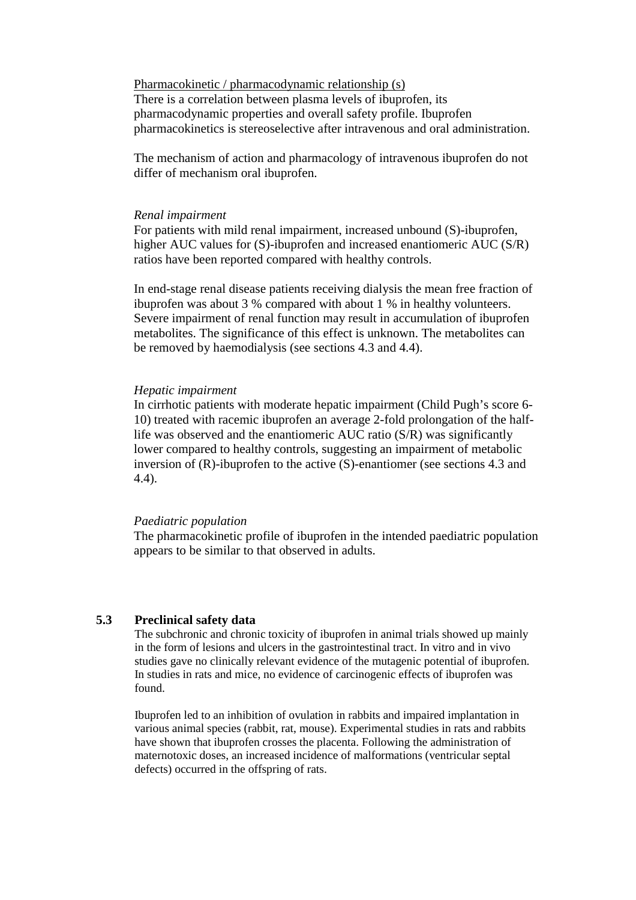Pharmacokinetic / pharmacodynamic relationship (s) There is a correlation between plasma levels of ibuprofen, its pharmacodynamic properties and overall safety profile. Ibuprofen pharmacokinetics is stereoselective after intravenous and oral administration.

The mechanism of action and pharmacology of intravenous ibuprofen do not differ of mechanism oral ibuprofen.

#### *Renal impairment*

For patients with mild renal impairment, increased unbound (S)-ibuprofen, higher AUC values for (S)-ibuprofen and increased enantiomeric AUC (S/R) ratios have been reported compared with healthy controls.

In end-stage renal disease patients receiving dialysis the mean free fraction of ibuprofen was about 3 % compared with about 1 % in healthy volunteers. Severe impairment of renal function may result in accumulation of ibuprofen metabolites. The significance of this effect is unknown. The metabolites can be removed by haemodialysis (see sections 4.3 and 4.4).

#### *Hepatic impairment*

In cirrhotic patients with moderate hepatic impairment (Child Pugh's score 6- 10) treated with racemic ibuprofen an average 2-fold prolongation of the halflife was observed and the enantiomeric AUC ratio (S/R) was significantly lower compared to healthy controls, suggesting an impairment of metabolic inversion of (R)-ibuprofen to the active (S)-enantiomer (see sections 4.3 and 4.4).

#### *Paediatric population*

The pharmacokinetic profile of ibuprofen in the intended paediatric population appears to be similar to that observed in adults.

## **5.3 Preclinical safety data**

The subchronic and chronic toxicity of ibuprofen in animal trials showed up mainly in the form of lesions and ulcers in the gastrointestinal tract. In vitro and in vivo studies gave no clinically relevant evidence of the mutagenic potential of ibuprofen. In studies in rats and mice, no evidence of carcinogenic effects of ibuprofen was found.

Ibuprofen led to an inhibition of ovulation in rabbits and impaired implantation in various animal species (rabbit, rat, mouse). Experimental studies in rats and rabbits have shown that ibuprofen crosses the placenta. Following the administration of maternotoxic doses, an increased incidence of malformations (ventricular septal defects) occurred in the offspring of rats.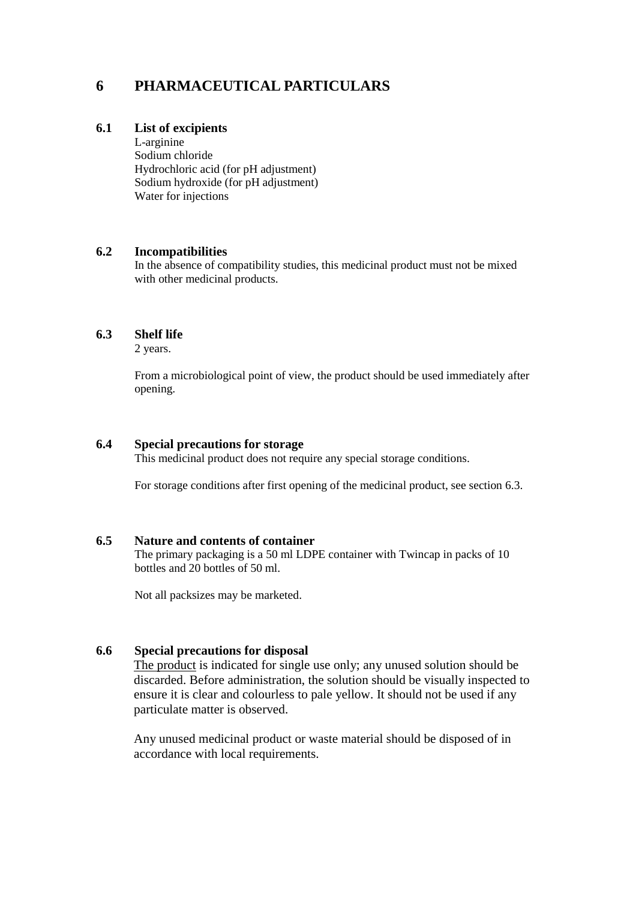# **6 PHARMACEUTICAL PARTICULARS**

## **6.1 List of excipients**

L-arginine Sodium chloride Hydrochloric acid (for pH adjustment) Sodium hydroxide (for pH adjustment) Water for injections

## **6.2 Incompatibilities**

In the absence of compatibility studies, this medicinal product must not be mixed with other medicinal products.

## **6.3 Shelf life**

2 years.

From a microbiological point of view, the product should be used immediately after opening.

### **6.4 Special precautions for storage**

This medicinal product does not require any special storage conditions.

For storage conditions after first opening of the medicinal product, see section 6.3.

### **6.5 Nature and contents of container**

The primary packaging is a 50 ml LDPE container with Twincap in packs of 10 bottles and 20 bottles of 50 ml.

Not all packsizes may be marketed.

## **6.6 Special precautions for disposal**

The product is indicated for single use only; any unused solution should be discarded. Before administration, the solution should be visually inspected to ensure it is clear and colourless to pale yellow. It should not be used if any particulate matter is observed.

Any unused medicinal product or waste material should be disposed of in accordance with local requirements.